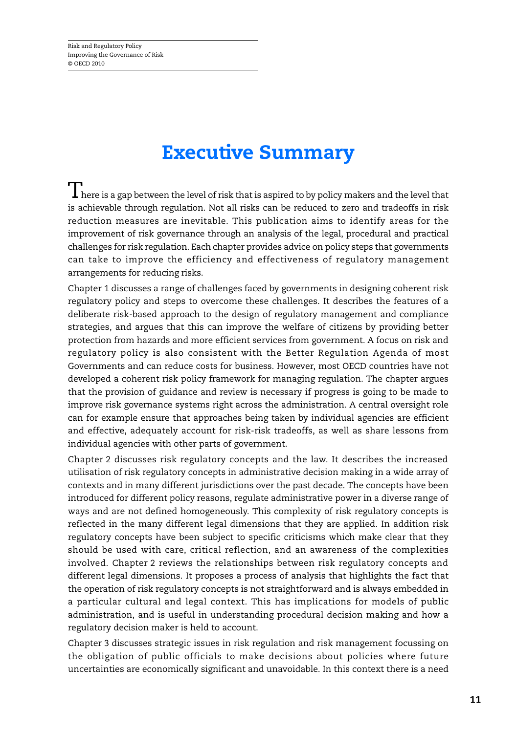## **Executive Summary**

 $\blacksquare$  here is a gap between the level of risk that is aspired to by policy makers and the level that is achievable through regulation. Not all risks can be reduced to zero and tradeoffs in risk reduction measures are inevitable. This publication aims to identify areas for the improvement of risk governance through an analysis of the legal, procedural and practical challenges for risk regulation. Each chapter provides advice on policy steps that governments can take to improve the efficiency and effectiveness of regulatory management arrangements for reducing risks.

Chapter 1 discusses a range of challenges faced by governments in designing coherent risk regulatory policy and steps to overcome these challenges. It describes the features of a deliberate risk-based approach to the design of regulatory management and compliance strategies, and argues that this can improve the welfare of citizens by providing better protection from hazards and more efficient services from government. A focus on risk and regulatory policy is also consistent with the Better Regulation Agenda of most Governments and can reduce costs for business. However, most OECD countries have not developed a coherent risk policy framework for managing regulation. The chapter argues that the provision of guidance and review is necessary if progress is going to be made to improve risk governance systems right across the administration. A central oversight role can for example ensure that approaches being taken by individual agencies are efficient and effective, adequately account for risk-risk tradeoffs, as well as share lessons from individual agencies with other parts of government.

Chapter 2 discusses risk regulatory concepts and the law. It describes the increased utilisation of risk regulatory concepts in administrative decision making in a wide array of contexts and in many different jurisdictions over the past decade. The concepts have been introduced for different policy reasons, regulate administrative power in a diverse range of ways and are not defined homogeneously. This complexity of risk regulatory concepts is reflected in the many different legal dimensions that they are applied. In addition risk regulatory concepts have been subject to specific criticisms which make clear that they should be used with care, critical reflection, and an awareness of the complexities involved. Chapter 2 reviews the relationships between risk regulatory concepts and different legal dimensions. It proposes a process of analysis that highlights the fact that the operation of risk regulatory concepts is not straightforward and is always embedded in a particular cultural and legal context. This has implications for models of public administration, and is useful in understanding procedural decision making and how a regulatory decision maker is held to account.

Chapter 3 discusses strategic issues in risk regulation and risk management focussing on the obligation of public officials to make decisions about policies where future uncertainties are economically significant and unavoidable. In this context there is a need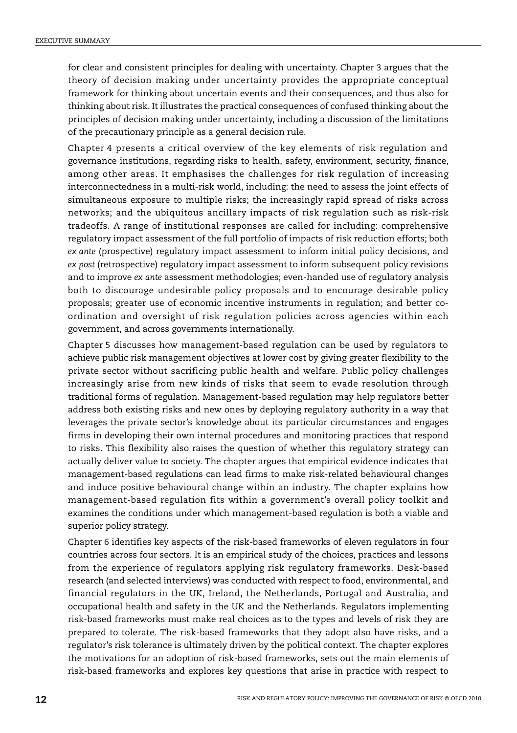for clear and consistent principles for dealing with uncertainty. Chapter 3 argues that the theory of decision making under uncertainty provides the appropriate conceptual framework for thinking about uncertain events and their consequences, and thus also for thinking about risk. It illustrates the practical consequences of confused thinking about the principles of decision making under uncertainty, including a discussion of the limitations of the precautionary principle as a general decision rule.

Chapter 4 presents a critical overview of the key elements of risk regulation and governance institutions, regarding risks to health, safety, environment, security, finance, among other areas. It emphasises the challenges for risk regulation of increasing interconnectedness in a multi-risk world, including: the need to assess the joint effects of simultaneous exposure to multiple risks; the increasingly rapid spread of risks across networks; and the ubiquitous ancillary impacts of risk regulation such as risk-risk tradeoffs. A range of institutional responses are called for including: comprehensive regulatory impact assessment of the full portfolio of impacts of risk reduction efforts; both *ex ante* (prospective) regulatory impact assessment to inform initial policy decisions, and *ex post* (retrospective) regulatory impact assessment to inform subsequent policy revisions and to improve *ex ante* assessment methodologies; even-handed use of regulatory analysis both to discourage undesirable policy proposals and to encourage desirable policy proposals; greater use of economic incentive instruments in regulation; and better coordination and oversight of risk regulation policies across agencies within each government, and across governments internationally.

Chapter 5 discusses how management-based regulation can be used by regulators to achieve public risk management objectives at lower cost by giving greater flexibility to the private sector without sacrificing public health and welfare. Public policy challenges increasingly arise from new kinds of risks that seem to evade resolution through traditional forms of regulation. Management-based regulation may help regulators better address both existing risks and new ones by deploying regulatory authority in a way that leverages the private sector's knowledge about its particular circumstances and engages firms in developing their own internal procedures and monitoring practices that respond to risks. This flexibility also raises the question of whether this regulatory strategy can actually deliver value to society. The chapter argues that empirical evidence indicates that management-based regulations can lead firms to make risk-related behavioural changes and induce positive behavioural change within an industry. The chapter explains how management-based regulation fits within a government's overall policy toolkit and examines the conditions under which management-based regulation is both a viable and superior policy strategy.

Chapter 6 identifies key aspects of the risk-based frameworks of eleven regulators in four countries across four sectors. It is an empirical study of the choices, practices and lessons from the experience of regulators applying risk regulatory frameworks. Desk-based research (and selected interviews) was conducted with respect to food, environmental, and financial regulators in the UK, Ireland, the Netherlands, Portugal and Australia, and occupational health and safety in the UK and the Netherlands. Regulators implementing risk-based frameworks must make real choices as to the types and levels of risk they are prepared to tolerate. The risk-based frameworks that they adopt also have risks, and a regulator's risk tolerance is ultimately driven by the political context. The chapter explores the motivations for an adoption of risk-based frameworks, sets out the main elements of risk-based frameworks and explores key questions that arise in practice with respect to